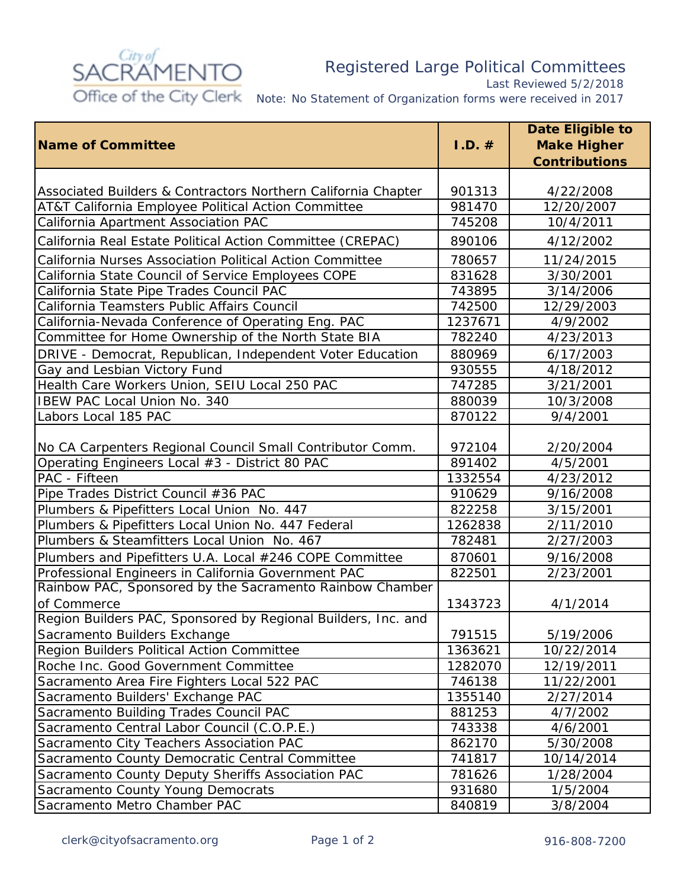

## Registered Large Political Committees

*Last Reviewed 5/2/2018*

*Note: No Statement of Organization forms were received in 2017*

|                                                               |           | <b>Date Eligible to</b> |
|---------------------------------------------------------------|-----------|-------------------------|
| <b>Name of Committee</b>                                      | $I.D. \#$ | <b>Make Higher</b>      |
|                                                               |           | <b>Contributions</b>    |
|                                                               |           |                         |
| Associated Builders & Contractors Northern California Chapter | 901313    | 4/22/2008               |
| AT&T California Employee Political Action Committee           | 981470    | 12/20/2007              |
| California Apartment Association PAC                          | 745208    | 10/4/2011               |
| California Real Estate Political Action Committee (CREPAC)    | 890106    | 4/12/2002               |
| California Nurses Association Political Action Committee      | 780657    | 11/24/2015              |
| California State Council of Service Employees COPE            | 831628    | 3/30/2001               |
| California State Pipe Trades Council PAC                      | 743895    | 3/14/2006               |
| California Teamsters Public Affairs Council                   | 742500    | 12/29/2003              |
| California-Nevada Conference of Operating Eng. PAC            | 1237671   | 4/9/2002                |
| Committee for Home Ownership of the North State BIA           | 782240    | 4/23/2013               |
| DRIVE - Democrat, Republican, Independent Voter Education     | 880969    | 6/17/2003               |
| Gay and Lesbian Victory Fund                                  | 930555    | 4/18/2012               |
| Health Care Workers Union, SEIU Local 250 PAC                 | 747285    | 3/21/2001               |
| IBEW PAC Local Union No. 340                                  | 880039    | 10/3/2008               |
| Labors Local 185 PAC                                          | 870122    | 9/4/2001                |
|                                                               |           |                         |
| No CA Carpenters Regional Council Small Contributor Comm.     | 972104    | 2/20/2004               |
| Operating Engineers Local #3 - District 80 PAC                | 891402    | 4/5/2001                |
| PAC - Fifteen                                                 | 1332554   | 4/23/2012               |
| Pipe Trades District Council #36 PAC                          | 910629    | 9/16/2008               |
| Plumbers & Pipefitters Local Union No. 447                    | 822258    | 3/15/2001               |
| Plumbers & Pipefitters Local Union No. 447 Federal            | 1262838   | 2/11/2010               |
| Plumbers & Steamfitters Local Union No. 467                   | 782481    | 2/27/2003               |
| Plumbers and Pipefitters U.A. Local #246 COPE Committee       | 870601    | 9/16/2008               |
| Professional Engineers in California Government PAC           | 822501    | 2/23/2001               |
| Rainbow PAC, Sponsored by the Sacramento Rainbow Chamber      |           |                         |
| of Commerce                                                   | 1343723   | 4/1/2014                |
| Region Builders PAC, Sponsored by Regional Builders, Inc. and |           |                         |
| Sacramento Builders Exchange                                  | 791515    | 5/19/2006               |
| Region Builders Political Action Committee                    | 1363621   | 10/22/2014              |
| Roche Inc. Good Government Committee                          | 1282070   | 12/19/2011              |
| Sacramento Area Fire Fighters Local 522 PAC                   | 746138    | 11/22/2001              |
| Sacramento Builders' Exchange PAC                             | 1355140   | 2/27/2014               |
| Sacramento Building Trades Council PAC                        | 881253    | 4/7/2002                |
| Sacramento Central Labor Council (C.O.P.E.)                   | 743338    | 4/6/2001                |
| Sacramento City Teachers Association PAC                      | 862170    | 5/30/2008               |
| Sacramento County Democratic Central Committee                | 741817    | 10/14/2014              |
| Sacramento County Deputy Sheriffs Association PAC             | 781626    | 1/28/2004               |
| Sacramento County Young Democrats                             | 931680    | 1/5/2004                |
| Sacramento Metro Chamber PAC                                  | 840819    | 3/8/2004                |